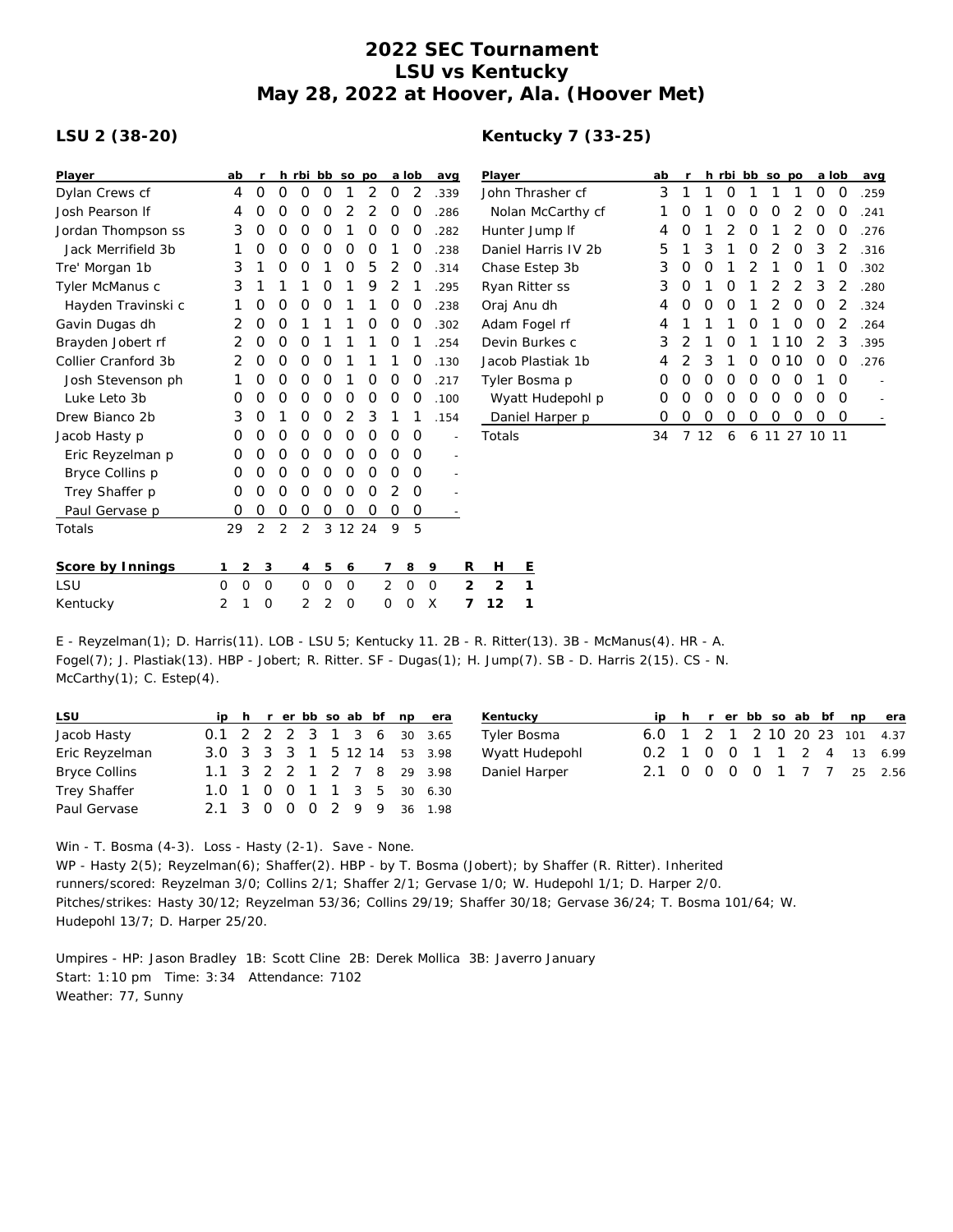## **2022 SEC Tournament LSU vs Kentucky May 28, 2022 at Hoover, Ala. (Hoover Met)**

## **LSU 2 (38-20)**

## **Kentucky 7 (33-25)**

| Player              | ab                  |             |             |                |   | h rbi bb so po |          |                | a lob    | avg         |                | Player              |   |                   |  | ab |   |          | h rbi bb so po |          |          |          |               | a lob    | avg                      |
|---------------------|---------------------|-------------|-------------|----------------|---|----------------|----------|----------------|----------|-------------|----------------|---------------------|---|-------------------|--|----|---|----------|----------------|----------|----------|----------|---------------|----------|--------------------------|
| Dylan Crews cf      | 4                   | 0           | $\mathbf 0$ | 0              | 0 | 1              | 2        | 0              | 2        | .339        |                |                     |   | John Thrasher cf  |  | 3  |   |          | 0              |          |          |          | 0             | 0        | .259                     |
| Josh Pearson If     | 4                   | O           | 0           | 0              | 0 | 2              | 2        | 0              | O        | .286        |                | Nolan McCarthy cf   |   |                   |  |    | O |          | O              | O        | $\Omega$ | 2        | 0             | $\Omega$ | .241                     |
| Jordan Thompson ss  | 3                   | 0           | 0           | 0              | 0 |                | O        | 0              | 0        | .282        |                | Hunter Jump If      |   |                   |  | 4  | 0 |          |                | O        |          | 2        | $\Omega$      | $\Omega$ | .276                     |
| Jack Merrifield 3b  |                     | 0           | 0           | 0              | O | O              | O        |                | O        | .238        |                | Daniel Harris IV 2b |   |                   |  | 5  |   | 3        |                | O        | 2        | $\Omega$ | 3             | 2        | .316                     |
| Tre' Morgan 1b      | 3                   |             | 0           | O              |   | 0              | 5        | 2              | 0        | .314        |                |                     |   | Chase Estep 3b    |  | 3  | 0 | O        |                |          |          | O        |               | O        | .302                     |
| Tyler McManus c     | 3                   |             |             |                | O |                | 9        |                |          | .295        |                |                     |   | Ryan Ritter ss    |  | 3  | 0 |          | O              |          |          | 2        | 3             | 2        | .280                     |
| Hayden Travinski c  |                     | 0           | 0           | 0              | 0 |                |          | 0              | O        | .238        |                | Oraj Anu dh         |   |                   |  | 4  | 0 | $\Omega$ | $\Omega$       |          | 2        | $\Omega$ | O             | 2        | .324                     |
| Gavin Dugas dh      | 2                   | 0           | O           |                |   |                | O        | 0              | O        | .302        |                |                     |   | Adam Fogel rf     |  | 4  |   |          |                |          |          |          | O             |          | .264                     |
| Brayden Jobert rf   |                     | 0           | 0           | O              |   |                |          | 0              |          | .254        |                |                     |   | Devin Burkes c    |  | 3  | 2 |          | O              |          |          | 10       | 2             | 3        | .395                     |
| Collier Cranford 3b | 2                   | O           | 0           | 0              | O |                |          |                | O        | .130        |                |                     |   | Jacob Plastiak 1b |  | 4  |   | 3        |                | O        | $\Omega$ | 10       | $\Omega$      | $\Omega$ | .276                     |
| Josh Stevenson ph   |                     | 0           | 0           | 0              | 0 |                | 0        | 0              | 0        | .217        |                |                     |   | Tyler Bosma p     |  | O  | O | O        | $\Omega$       | $\Omega$ | $\Omega$ | $\Omega$ |               | $\Omega$ |                          |
| Luke Leto 3b        | 0                   | 0           | 0           | 0              | 0 | 0              | 0        | 0              | 0        | .100        |                |                     |   | Wyatt Hudepohl p  |  | 0  | 0 | $\Omega$ | $\Omega$       | $\Omega$ | $\Omega$ | $\Omega$ | $\Omega$      | $\Omega$ | $\overline{\phantom{a}}$ |
| Drew Bianco 2b      | 3                   | O           |             | 0              | 0 | 2              | 3        |                |          | .154        |                |                     |   | Daniel Harper p   |  | 0  | 0 | 0        | 0              | 0        | 0        | 0        | 0             | $\circ$  |                          |
| Jacob Hasty p       | 0                   | O           | 0           | 0              | 0 | 0              | 0        | 0              | 0        |             | $\overline{a}$ | Totals              |   |                   |  | 34 |   | 7 12     | 6              |          |          |          | 6 11 27 10 11 |          |                          |
| Eric Reyzelman p    | O                   | O           | 0           | 0              | 0 | 0              | 0        | Ο              | $\Omega$ |             | $\overline{a}$ |                     |   |                   |  |    |   |          |                |          |          |          |               |          |                          |
| Bryce Collins p     | 0                   | O           | 0           | O              | O | 0              | $\Omega$ | O              | $\Omega$ |             |                |                     |   |                   |  |    |   |          |                |          |          |          |               |          |                          |
| Trey Shaffer p      | 0                   | 0           | 0           | 0              | 0 | 0              | O        | 2              | O        |             |                |                     |   |                   |  |    |   |          |                |          |          |          |               |          |                          |
| Paul Gervase p      | 0                   | 0           | 0           | 0              | 0 | 0              | $\Omega$ | 0              | 0        |             |                |                     |   |                   |  |    |   |          |                |          |          |          |               |          |                          |
| Totals              | 29                  | 2           | 2           | $\overline{2}$ |   | 3 12 24        |          | 9              | 5        |             |                |                     |   |                   |  |    |   |          |                |          |          |          |               |          |                          |
| Score by Innings    | $\overline{2}$<br>1 | 3           |             | $\overline{4}$ | 5 | 6              |          | 7              | 8        | 9           | R              | Н                   | E |                   |  |    |   |          |                |          |          |          |               |          |                          |
| LSU                 | $\mathbf 0$<br>0    | $\mathbf 0$ |             | 0              | 0 | 0              |          | $\overline{2}$ | 0        | $\mathbf 0$ | 2              | $\overline{2}$      | 1 |                   |  |    |   |          |                |          |          |          |               |          |                          |
| Kentucky            | 2<br>1              | $\circ$     |             | 2              | 2 | $\mathbf 0$    |          | 0              | O        | X           | 7              | 12                  | 1 |                   |  |    |   |          |                |          |          |          |               |          |                          |
|                     |                     |             |             |                |   |                |          |                |          |             |                |                     |   |                   |  |    |   |          |                |          |          |          |               |          |                          |

E - Reyzelman(1); D. Harris(11). LOB - LSU 5; Kentucky 11. 2B - R. Ritter(13). 3B - McManus(4). HR - A. Fogel(7); J. Plastiak(13). HBP - Jobert; R. Ritter. SF - Dugas(1); H. Jump(7). SB - D. Harris 2(15). CS - N. McCarthy(1); C. Estep(4).

| <b>LSU</b>           |  |  |  |  | ip h r er bb so ab bf np era | Kentucky       |  |  |  |  | ip h r er bb so ab bf np era  |
|----------------------|--|--|--|--|------------------------------|----------------|--|--|--|--|-------------------------------|
| Jacob Hasty          |  |  |  |  | 0.1 2 2 2 3 1 3 6 30 3.65    | Tyler Bosma    |  |  |  |  | 6.0 1 2 1 2 10 20 23 101 4.37 |
| Eric Reyzelman       |  |  |  |  | 3.0 3 3 3 1 5 12 14 53 3.98  | Wyatt Hudepohl |  |  |  |  | 0.2 1 0 0 1 1 2 4 13 6.99     |
| <b>Bryce Collins</b> |  |  |  |  | 1.1 3 2 2 1 2 7 8 29 3.98    | Daniel Harper  |  |  |  |  | 2.1 0 0 0 0 1 7 7 25 2.56     |
| <b>Trey Shaffer</b>  |  |  |  |  | 1.0 1 0 0 1 1 3 5 30 6.30    |                |  |  |  |  |                               |
| Paul Gervase         |  |  |  |  | 2.1 3 0 0 0 2 9 9 36 1.98    |                |  |  |  |  |                               |

Win - T. Bosma (4-3). Loss - Hasty (2-1). Save - None. WP - Hasty 2(5); Reyzelman(6); Shaffer(2). HBP - by T. Bosma (Jobert); by Shaffer (R. Ritter). Inherited runners/scored: Reyzelman 3/0; Collins 2/1; Shaffer 2/1; Gervase 1/0; W. Hudepohl 1/1; D. Harper 2/0. Pitches/strikes: Hasty 30/12; Reyzelman 53/36; Collins 29/19; Shaffer 30/18; Gervase 36/24; T. Bosma 101/64; W. Hudepohl 13/7; D. Harper 25/20.

Umpires - HP: Jason Bradley 1B: Scott Cline 2B: Derek Mollica 3B: Javerro January Start: 1:10 pm Time: 3:34 Attendance: 7102 Weather: 77, Sunny